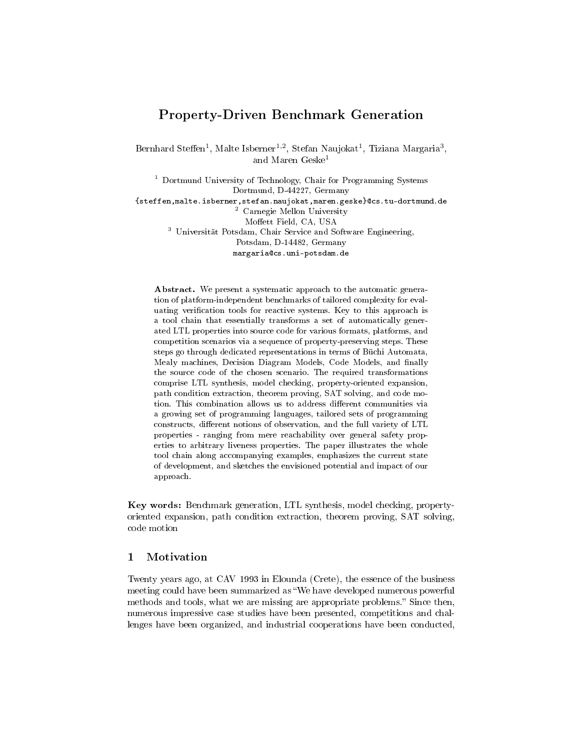# Property-Driven Benchmark Generation

Bernhard Steffen<sup>1</sup>, Malte Isberner<sup>1,2</sup>, Stefan Naujokat<sup>1</sup>, Tiziana Margaria<sup>3</sup>, and Maren Geske<sup>1</sup>

<sup>1</sup> Dortmund University of Technology, Chair for Programming Systems Dortmund, D-44227, Germany {steffen,malte.isberner,stefan.naujokat,maren.geske}@cs.tu-dortmund.de <sup>2</sup> Carnegie Mellon University Moffett Field, CA, USA <sup>3</sup> Universität Potsdam, Chair Service and Software Engineering, Potsdam, D-14482, Germany margaria@cs.uni-potsdam.de

Abstract. We present a systematic approach to the automatic generation of platform-independent benchmarks of tailored complexity for evaluating verification tools for reactive systems. Key to this approach is a tool chain that essentially transforms a set of automatically generated LTL properties into source code for various formats, platforms, and competition scenarios via a sequence of property-preserving steps. These steps go through dedicated representations in terms of Büchi Automata, Mealy machines, Decision Diagram Models, Code Models, and finally the source code of the chosen scenario. The required transformations comprise LTL synthesis, model checking, property-oriented expansion, path condition extraction, theorem proving, SAT solving, and code motion. This combination allows us to address different communities via a growing set of programming languages, tailored sets of programming constructs, different notions of observation, and the full variety of LTL properties - ranging from mere reachability over general safety properties to arbitrary liveness properties. The paper illustrates the whole tool chain along accompanying examples, emphasizes the current state of development, and sketches the envisioned potential and impact of our approach.

Key words: Benchmark generation, LTL synthesis, model checking, propertyoriented expansion, path condition extraction, theorem proving, SAT solving, code motion

## 1 Motivation

Twenty years ago, at CAV 1993 in Elounda (Crete), the essence of the business meeting could have been summarized as "We have developed numerous powerful methods and tools, what we are missing are appropriate problems." Since then, numerous impressive case studies have been presented, competitions and challenges have been organized, and industrial cooperations have been conducted,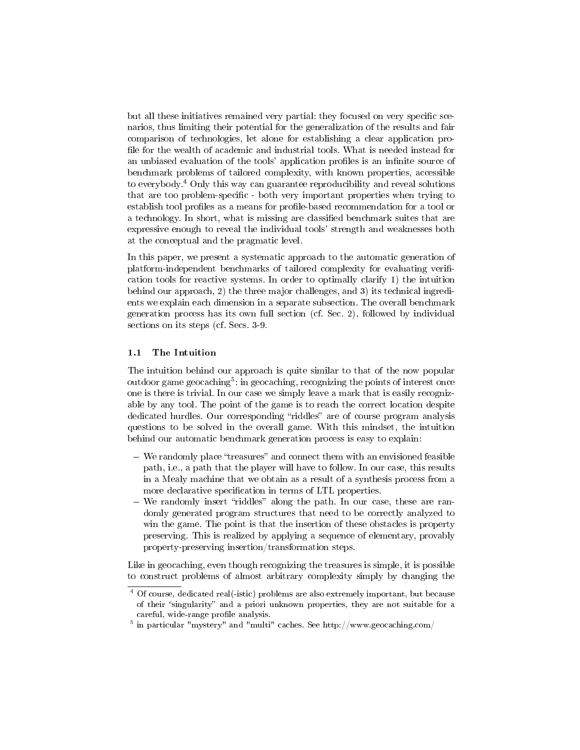but all these initiatives remained very partial: they focused on very specific scenarios, thus limiting their potential for the generalization of the results and fair comparison of technologies, let alone for establishing a clear application pro file for the wealth of academic and industrial tools. What is needed instead for an unbiased evaluation of the tools' application profiles is an infinite source of benchmark problems of tailored complexity, with known properties, accessible to everybody.<sup>4</sup> Only this way can guarantee reproducibility and reveal solutions that are too problem-specific - both very important properties when trying to establish tool profiles as a means for profile-based recommendation for a tool or a technology. In short, what is missing are classified benchmark suites that are expressive enough to reveal the individual tools' strength and weaknesses both at the conceptual and the pragmatic level.

In this paper, we present a systematic approach to the automatic generation of platform-independent benchmarks of tailored complexity for evaluating verification tools for reactive systems. In order to optimally clarify 1) the intuition behind our approach, 2) the three major challenges, and 3) its technical ingredients we explain each dimension in a separate subsection. The overall benchmark generation process has its own full section (cf. Sec. 2), followed by individual sections on its steps (cf. Secs. 3-9.

#### 1.1 The Intuition

The intuition behind our approach is quite similar to that of the now popular outdoor game geocaching<sup>5</sup>: in geocaching, recognizing the points of interest once one is there is trivial. In our case we simply leave a mark that is easily recognizable by any tool. The point of the game is to reach the correct location despite dedicated hurdles. Our corresponding "riddles" are of course program analysis questions to be solved in the overall game. With this mindset, the intuition behind our automatic benchmark generation process is easy to explain:

- $-$  We randomly place "treasures" and connect them with an envisioned feasible path, i.e., a path that the player will have to follow. In our case, this results in a Mealy machine that we obtain as a result of a synthesis process from a more declarative specification in terms of LTL properties.
- We randomly insert "riddles" along the path. In our case, these are randomly generated program structures that need to be correctly analyzed to win the game. The point is that the insertion of these obstacles is property preserving. This is realized by applying a sequence of elementary, provably property-preserving insertion/transformation steps.

Like in geocaching, even though recognizing the treasures is simple, it is possible to construct problems of almost arbitrary complexity simply by changing the

<sup>4</sup> Of course, dedicated real(-istic) problems are also extremely important, but because of their "singularity" and a priori unknown properties, they are not suitable for a careful, wide-range profile analysis.

<sup>5</sup> in particular "mystery" and "multi" caches. See http://www.geocaching.com/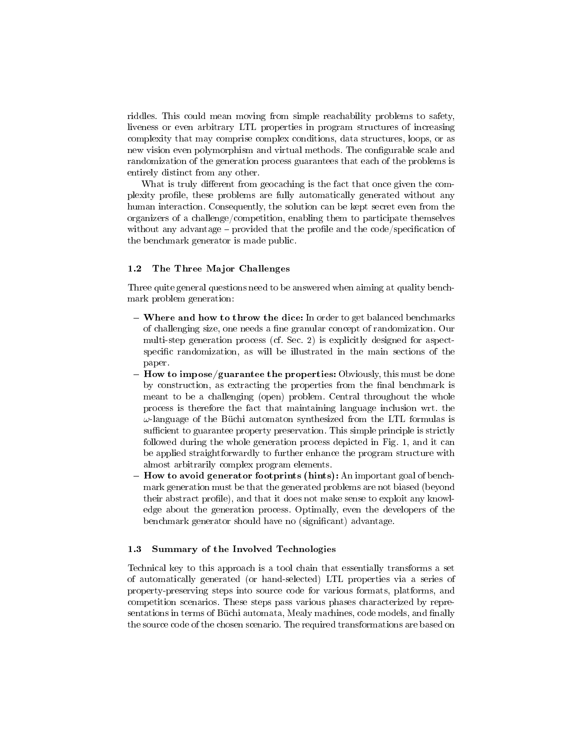riddles. This could mean moving from simple reachability problems to safety, liveness or even arbitrary LTL properties in program structures of increasing complexity that may comprise complex conditions, data structures, loops, or as new vision even polymorphism and virtual methods. The configurable scale and randomization of the generation process guarantees that each of the problems is entirely distinct from any other.

What is truly different from geocaching is the fact that once given the complexity profile, these problems are fully automatically generated without any human interaction. Consequently, the solution can be kept secret even from the organizers of a challenge/competition, enabling them to participate themselves without any advantage  $-$  provided that the profile and the code/specification of the benchmark generator is made public.

#### 1.2 The Three Major Challenges

Three quite general questions need to be answered when aiming at quality benchmark problem generation:

- $-$  Where and how to throw the dice: In order to get balanced benchmarks of challenging size, one needs a fine granular concept of randomization. Our multi-step generation process (cf. Sec. 2) is explicitly designed for aspectspecific randomization, as will be illustrated in the main sections of the paper.
- $-$  How to impose/guarantee the properties: Obviously, this must be done by construction, as extracting the properties from the final benchmark is meant to be a challenging (open) problem. Central throughout the whole process is therefore the fact that maintaining language inclusion wrt. the  $\omega$ -language of the Büchi automaton synthesized from the LTL formulas is sufficient to guarantee property preservation. This simple principle is strictly followed during the whole generation process depicted in Fig. 1, and it can be applied straightforwardly to further enhance the program structure with almost arbitrarily complex program elements.
- How to avoid generator footprints (hints): An important goal of benchmark generation must be that the generated problems are not biased (beyond their abstract profile), and that it does not make sense to exploit any knowledge about the generation process. Optimally, even the developers of the benchmark generator should have no (signicant) advantage.

#### 1.3 Summary of the Involved Technologies

Technical key to this approach is a tool chain that essentially transforms a set of automatically generated (or hand-selected) LTL properties via a series of property-preserving steps into source code for various formats, platforms, and competition scenarios. These steps pass various phases characterized by representations in terms of Büchi automata, Mealy machines, code models, and finally the source code of the chosen scenario. The required transformations are based on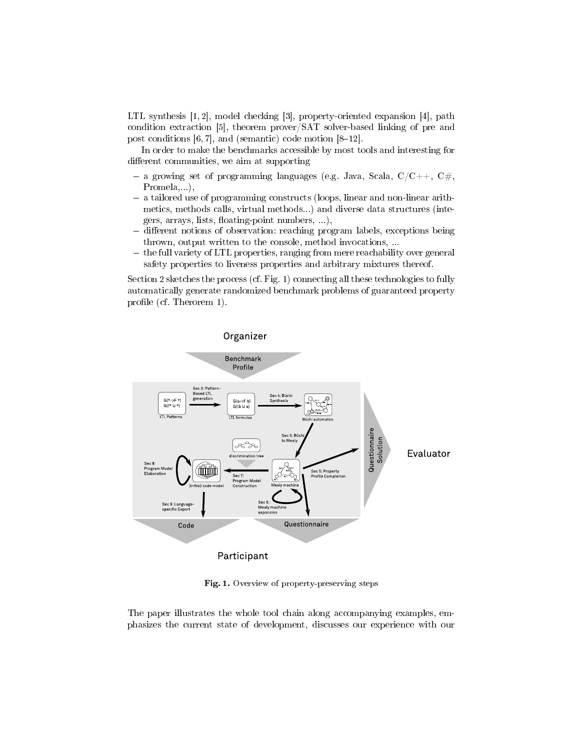LTL synthesis [1, 2], model checking [3], property-oriented expansion [4], path condition extraction [5], theorem prover/SAT solver-based linking of pre and post conditions  $[6, 7]$ , and (semantic) code motion  $[8-12]$ .

In order to make the benchmarks accessible by most tools and interesting for different communities, we aim at supporting

- a growing set of programming languages (e.g. Java, Scala,  $C/C++$ ,  $C#$ , Promela,...),
- a tailored use of programming constructs (loops, linear and non-linear arithmetics, methods calls, virtual methods...) and diverse data structures (integers, arrays, lists, floating-point numbers,  $\dots$ ,
- different notions of observation: reaching program labels, exceptions being thrown, output written to the console, method invocations, ...
- the full variety of LTL properties, ranging from mere reachability over general safety properties to liveness properties and arbitrary mixtures thereof.

Section 2 sketches the process (cf. Fig. 1) connecting all these technologies to fully automatically generate randomized benchmark problems of guaranteed property profile (cf. Therorem 1).



Fig. 1. Overview of property-preserving steps

The paper illustrates the whole tool chain along accompanying examples, emphasizes the current state of development, discusses our experience with our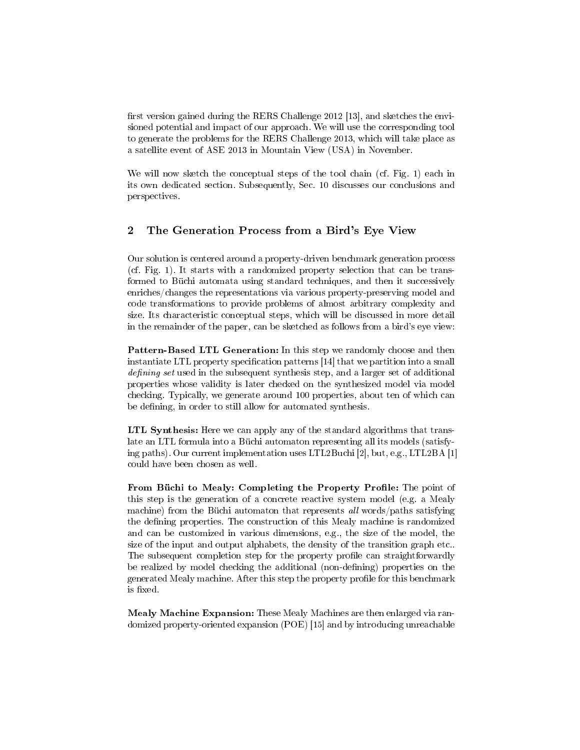first version gained during the RERS Challenge 2012 [13], and sketches the envisioned potential and impact of our approach. We will use the corresponding tool to generate the problems for the RERS Challenge 2013, which will take place as a satellite event of ASE 2013 in Mountain View (USA) in November.

We will now sketch the conceptual steps of the tool chain (cf. Fig. 1) each in its own dedicated section. Subsequently, Sec. 10 discusses our conclusions and perspectives.

## 2 The Generation Process from a Bird's Eye View

Our solution is centered around a property-driven benchmark generation process (cf. Fig. 1). It starts with a randomized property selection that can be transformed to Büchi automata using standard techniques, and then it successively enriches/changes the representations via various property-preserving model and code transformations to provide problems of almost arbitrary complexity and size. Its characteristic conceptual steps, which will be discussed in more detail in the remainder of the paper, can be sketched as follows from a bird's eye view:

Pattern-Based LTL Generation: In this step we randomly choose and then instantiate LTL property specification patterns  $[14]$  that we partition into a small  $defining set$  used in the subsequent synthesis step, and a larger set of additional properties whose validity is later checked on the synthesized model via model checking. Typically, we generate around 100 properties, about ten of which can be defining, in order to still allow for automated synthesis.

LTL Synthesis: Here we can apply any of the standard algorithms that translate an LTL formula into a Büchi automaton representing all its models (satisfying paths). Our current implementation uses LTL2Buchi [2], but, e.g., LTL2BA [1] could have been chosen as well.

From Büchi to Mealy: Completing the Property Profile: The point of this step is the generation of a concrete reactive system model (e.g. a Mealy machine) from the Büchi automaton that represents all words/paths satisfying the defining properties. The construction of this Mealy machine is randomized and can be customized in various dimensions, e.g., the size of the model, the size of the input and output alphabets, the density of the transition graph etc.. The subsequent completion step for the property profile can straightforwardly be realized by model checking the additional (non-defining) properties on the generated Mealy machine. After this step the property profile for this benchmark is fixed.

Mealy Machine Expansion: These Mealy Machines are then enlarged via randomized property-oriented expansion (POE) [15] and by introducing unreachable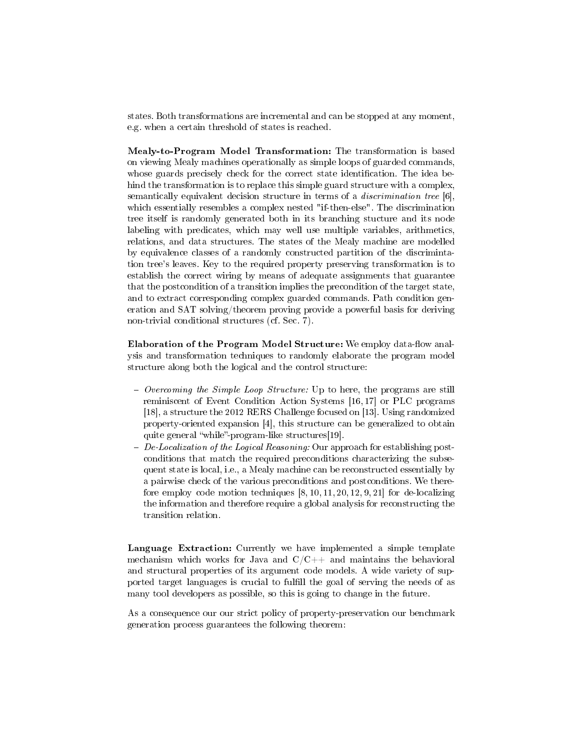states. Both transformations are incremental and can be stopped at any moment, e.g. when a certain threshold of states is reached.

Mealy-to-Program Model Transformation: The transformation is based on viewing Mealy machines operationally as simple loops of guarded commands, whose guards precisely check for the correct state identification. The idea behind the transformation is to replace this simple guard structure with a complex, semantically equivalent decision structure in terms of a *discrimination tree* [6], which essentially resembles a complex nested "if-then-else". The discrimination tree itself is randomly generated both in its branching stucture and its node labeling with predicates, which may well use multiple variables, arithmetics, relations, and data structures. The states of the Mealy machine are modelled by equivalence classes of a randomly constructed partition of the discrimintation tree's leaves. Key to the required property preserving transformation is to establish the correct wiring by means of adequate assignments that guarantee that the postcondition of a transition implies the precondition of the target state, and to extract corresponding complex guarded commands. Path condition generation and SAT solving/theorem proving provide a powerful basis for deriving non-trivial conditional structures (cf. Sec. 7).

Elaboration of the Program Model Structure: We employ data-flow analysis and transformation techniques to randomly elaborate the program model structure along both the logical and the control structure:

- $\overline{O}$  *Overcoming the Simple Loop Structure:* Up to here, the programs are still reminiscent of Event Condition Action Systems [16, 17] or PLC programs [18], a structure the 2012 RERS Challenge focused on [13]. Using randomized property-oriented expansion [4], this structure can be generalized to obtain quite general "while"-program-like structures[19].
- $\overline{D}$  De-Localization of the Logical Reasoning: Our approach for establishing postconditions that match the required preconditions characterizing the subsequent state is local, i.e., a Mealy machine can be reconstructed essentially by a pairwise check of the various preconditions and postconditions. We therefore employ code motion techniques  $[8, 10, 11, 20, 12, 9, 21]$  for de-localizing the information and therefore require a global analysis for reconstructing the transition relation.

Language Extraction: Currently we have implemented a simple template mechanism which works for Java and  $C/C++$  and maintains the behavioral and structural properties of its argument code models. A wide variety of supported target languages is crucial to fulll the goal of serving the needs of as many tool developers as possible, so this is going to change in the future.

As a consequence our our strict policy of property-preservation our benchmark generation process guarantees the following theorem: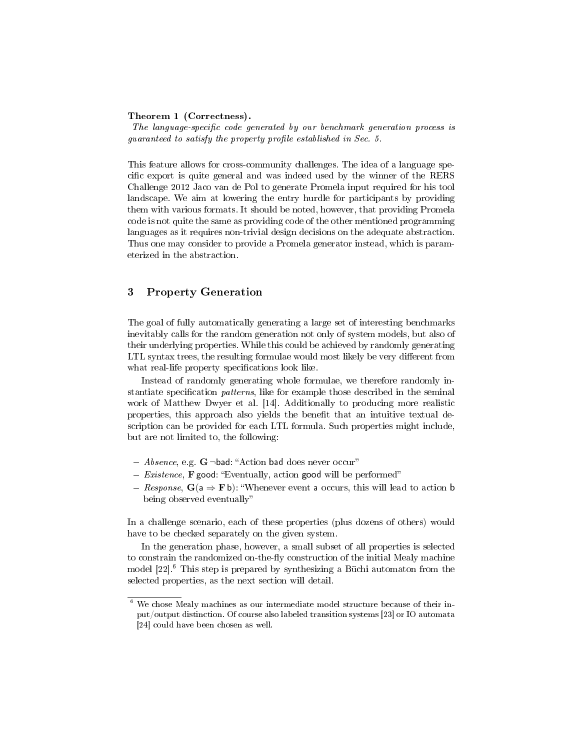#### Theorem 1 (Correctness).

The language-specific code generated by our benchmark generation process is guaranteed to satisfy the property profile established in Sec. 5.

This feature allows for cross-community challenges. The idea of a language specific export is quite general and was indeed used by the winner of the RERS Challenge 2012 Jaco van de Pol to generate Promela input required for his tool landscape. We aim at lowering the entry hurdle for participants by providing them with various formats. It should be noted, however, that providing Promela code is not quite the same as providing code of the other mentioned programming languages as it requires non-trivial design decisions on the adequate abstraction. Thus one may consider to provide a Promela generator instead, which is parameterized in the abstraction.

## 3 Property Generation

The goal of fully automatically generating a large set of interesting benchmarks inevitably calls for the random generation not only of system models, but also of their underlying properties. While this could be achieved by randomly generating LTL syntax trees, the resulting formulae would most likely be very different from what real-life property specifications look like.

Instead of randomly generating whole formulae, we therefore randomly instantiate specification *patterns*, like for example those described in the seminal work of Matthew Dwyer et al. [14]. Additionally to producing more realistic properties, this approach also yields the benefit that an intuitive textual description can be provided for each LTL formula. Such properties might include, but are not limited to, the following:

- $-$  Absence, e.g. G  $\rightarrow$  bad: "Action bad does never occur"
- $\overline{E}$  Existence, **F** good: "Eventually, action good will be performed"
- $-Response, G(a \Rightarrow F b)$ : "Whenever event a occurs, this will lead to action b being observed eventually

In a challenge scenario, each of these properties (plus dozens of others) would have to be checked separately on the given system.

In the generation phase, however, a small subset of all properties is selected to constrain the randomized on-the-fly construction of the initial Mealy machine model [22].<sup>6</sup> This step is prepared by synthesizing a Büchi automaton from the selected properties, as the next section will detail.

 $6$  We chose Mealy machines as our intermediate model structure because of their input/output distinction. Of course also labeled transition systems [23] or IO automata [24] could have been chosen as well.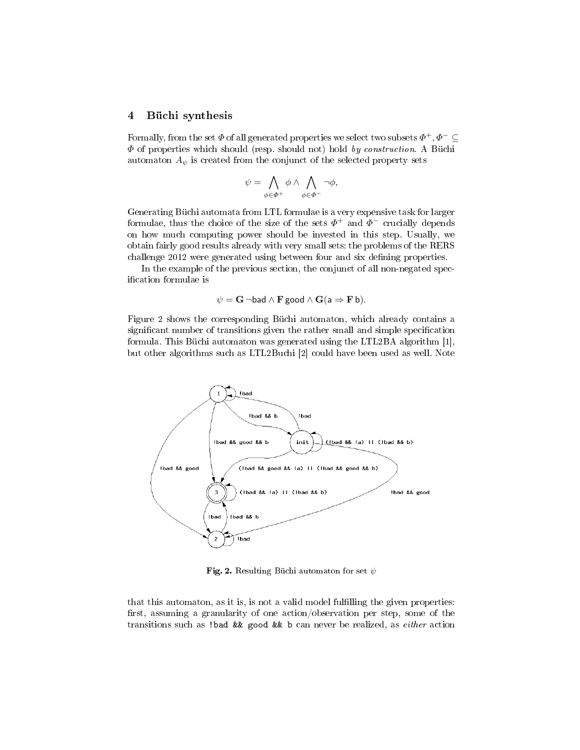### 4 Büchi synthesis

Formally, from the set  $\varPhi$  of all generated properties we select two subsets  $\varPhi^+, \varPhi^- \subseteq$  $\Phi$  of properties which should (resp. should not) hold by construction. A Büchi automaton  $A_{\psi}$  is created from the conjunct of the selected property sets

$$
\psi = \bigwedge_{\phi \in \varPhi^+} \phi \land \bigwedge_{\phi \in \varPhi^-} \neg \phi,
$$

Generating Büchi automata from LTL formulae is a very expensive task for larger formulae, thus the choice of the size of the sets  $\Phi^+$  and  $\Phi^-$  crucially depends on how much computing power should be invested in this step. Usually, we obtain fairly good results already with very small sets: the problems of the RERS challenge 2012 were generated using between four and six defining properties.

In the example of the previous section, the conjunct of all non-negated specification formulae is

$$
\psi = \mathbf{G} \neg \mathsf{bad} \wedge \mathbf{F} \mathsf{good} \wedge \mathbf{G}(\mathsf{a} \Rightarrow \mathbf{F} \mathsf{b}).
$$

Figure 2 shows the corresponding Büchi automaton, which already contains a significant number of transitions given the rather small and simple specification formula. This Büchi automaton was generated using the LTL2BA algorithm [1], but other algorithms such as LTL2Buchi [2] could have been used as well. Note



Fig. 2. Resulting Büchi automaton for set  $\psi$ 

that this automaton, as it is, is not a valid model fullling the given properties: first, assuming a granularity of one action/observation per step, some of the transitions such as !bad && good && b can never be realized, as *either* action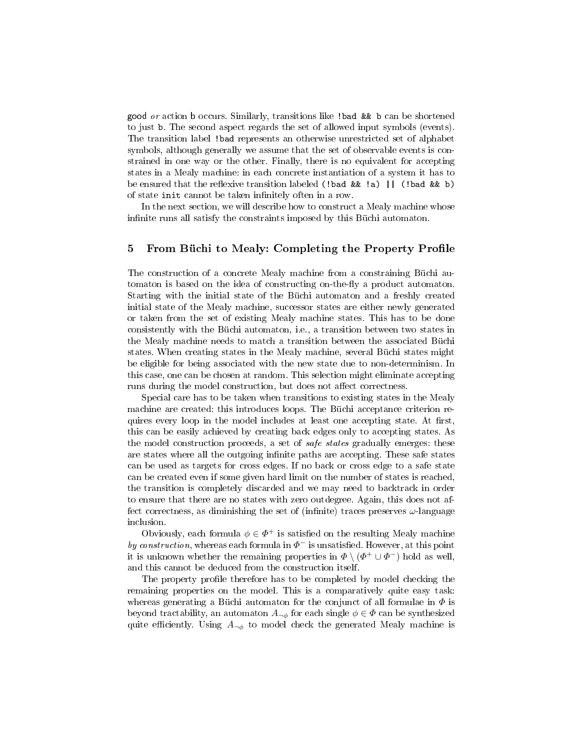good *or* action b occurs. Similarly, transitions like !bad && b can be shortened to just b. The second aspect regards the set of allowed input symbols (events). The transition label !bad represents an otherwise unrestricted set of alphabet symbols, although generally we assume that the set of observable events is constrained in one way or the other. Finally, there is no equivalent for accepting states in a Mealy machine: in each concrete instantiation of a system it has to be ensured that the reflexive transition labeled (!bad && !a) | (!bad && b) of state init cannot be taken infinitely often in a row.

In the next section, we will describe how to construct a Mealy machine whose infinite runs all satisfy the constraints imposed by this Büchi automaton.

### 5 From Büchi to Mealy: Completing the Property Profile

The construction of a concrete Mealy machine from a constraining Büchi automaton is based on the idea of constructing on-the-fly a product automaton. Starting with the initial state of the Büchi automaton and a freshly created initial state of the Mealy machine, successor states are either newly generated or taken from the set of existing Mealy machine states. This has to be done consistently with the Büchi automaton, i.e., a transition between two states in the Mealy machine needs to match a transition between the associated Büchi states. When creating states in the Mealy machine, several Büchi states might be eligible for being associated with the new state due to non-determinism. In this case, one can be chosen at random. This selection might eliminate accepting runs during the model construction, but does not affect correctness.

Special care has to be taken when transitions to existing states in the Mealy machine are created: this introduces loops. The Büchi acceptance criterion requires every loop in the model includes at least one accepting state. At first, this can be easily achieved by creating back edges only to accepting states. As the model construction proceeds, a set of *safe states* gradually emerges: these are states where all the outgoing infinite paths are accepting. These safe states can be used as targets for cross edges. If no back or cross edge to a safe state can be created even if some given hard limit on the number of states is reached, the transition is completely discarded and we may need to backtrack in order to ensure that there are no states with zero outdegree. Again, this does not affect correctness, as diminishing the set of (infinite) traces preserves  $\omega$ -language inclusion.

Obviously, each formula  $\phi \in \Phi^+$  is satisfied on the resulting Mealy machine by construction, whereas each formula in  $\Phi^-$  is unsatisfied. However, at this point it is unknown whether the remaining properties in  $\Phi \setminus (\Phi^+ \cup \Phi^-)$  hold as well, and this cannot be deduced from the construction itself.

The property profile therefore has to be completed by model checking the remaining properties on the model. This is a comparatively quite easy task: whereas generating a Büchi automaton for the conjunct of all formulae in  $\Phi$  is beyond tractability, an automaton  $A_{\neg \phi}$  for each single  $\phi \in \Phi$  can be synthesized quite efficiently. Using  $A_{\neg\phi}$  to model check the generated Mealy machine is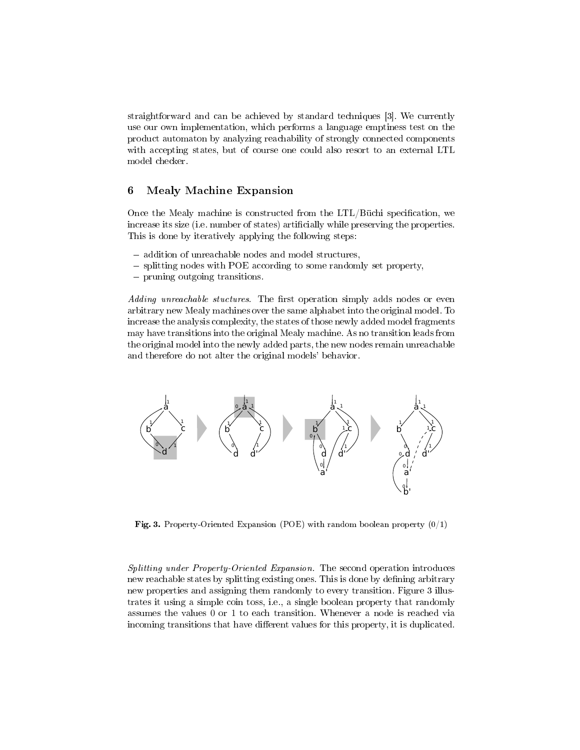straightforward and can be achieved by standard techniques [3]. We currently use our own implementation, which performs a language emptiness test on the product automaton by analyzing reachability of strongly connected components with accepting states, but of course one could also resort to an external LTL model checker.

## 6 Mealy Machine Expansion

Once the Mealy machine is constructed from the  $LTL/B$  dichi specification, we increase its size (i.e. number of states) artificially while preserving the properties. This is done by iteratively applying the following steps:

- addition of unreachable nodes and model structures,
- splitting nodes with POE according to some randomly set property,
- pruning outgoing transitions.

Adding unreachable stuctures. The first operation simply adds nodes or even arbitrary new Mealy machines over the same alphabet into the original model. To increase the analysis complexity, the states of those newly added model fragments may have transitions into the original Mealy machine. As no transition leads from the original model into the newly added parts, the new nodes remain unreachable and therefore do not alter the original models' behavior.



Fig. 3. Property-Oriented Expansion (POE) with random boolean property  $(0/1)$ 

Splitting under Property-Oriented Expansion. The second operation introduces new reachable states by splitting existing ones. This is done by defining arbitrary new properties and assigning them randomly to every transition. Figure 3 illustrates it using a simple coin toss, i.e., a single boolean property that randomly assumes the values 0 or 1 to each transition. Whenever a node is reached via incoming transitions that have different values for this property, it is duplicated.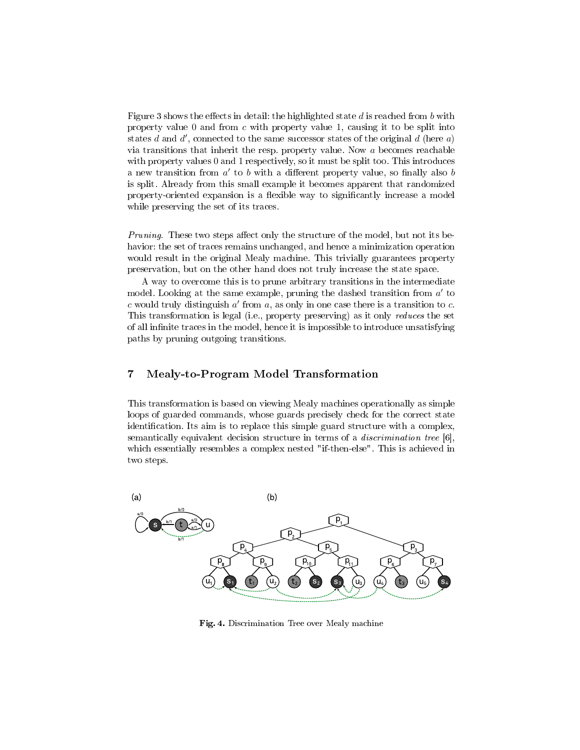Figure 3 shows the effects in detail: the highlighted state  $d$  is reached from  $b$  with property value 0 and from  $c$  with property value 1, causing it to be split into states  $d$  and  $d'$ , connected to the same successor states of the original  $d$  (here  $a$ ) via transitions that inherit the resp. property value. Now  $a$  becomes reachable with property values 0 and 1 respectively, so it must be split too. This introduces a new transition from  $a'$  to  $b$  with a different property value, so finally also  $b$ is split. Already from this small example it becomes apparent that randomized property-oriented expansion is a flexible way to significantly increase a model while preserving the set of its traces.

*Pruning.* These two steps affect only the structure of the model, but not its behavior: the set of traces remains unchanged, and hence a minimization operation would result in the original Mealy machine. This trivially guarantees property preservation, but on the other hand does not truly increase the state space.

A way to overcome this is to prune arbitrary transitions in the intermediate model. Looking at the same example, pruning the dashed transition from  $a'$  to  $c$  would truly distinguish  $a'$  from  $a$ , as only in one case there is a transition to  $c$ . This transformation is legal (i.e., property preserving) as it only reduces the set of all infinite traces in the model, hence it is impossible to introduce unsatisfying paths by pruning outgoing transitions.

# 7 Mealy-to-Program Model Transformation

This transformation is based on viewing Mealy machines operationally as simple loops of guarded commands, whose guards precisely check for the correct state identification. Its aim is to replace this simple guard structure with a complex, semantically equivalent decision structure in terms of a *discrimination tree* [6], which essentially resembles a complex nested "if-then-else". This is achieved in two steps.



Fig. 4. Discrimination Tree over Mealy machine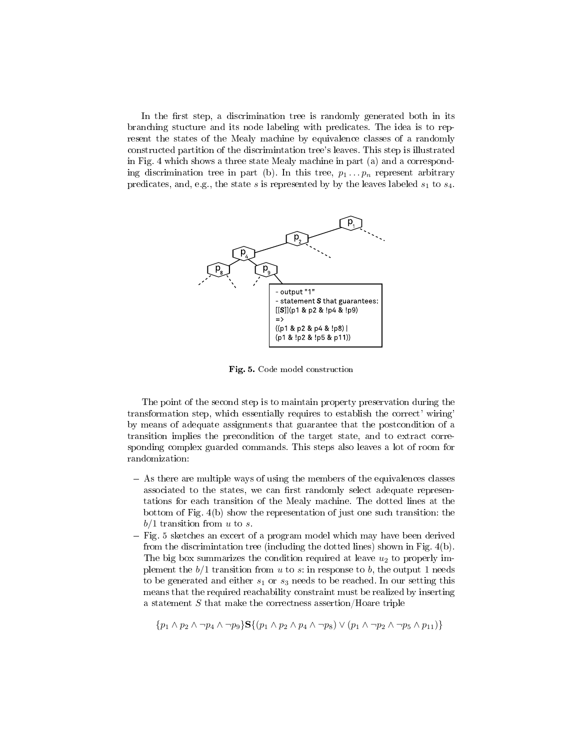In the first step, a discrimination tree is randomly generated both in its branching stucture and its node labeling with predicates. The idea is to represent the states of the Mealy machine by equivalence classes of a randomly constructed partition of the discrimintation tree's leaves. This step is illustrated in Fig. 4 which shows a three state Mealy machine in part (a) and a corresponding discrimination tree in part (b). In this tree,  $p_1 \nldots p_n$  represent arbitrary predicates, and, e.g., the state s is represented by by the leaves labeled  $s_1$  to  $s_4$ .



Fig. 5. Code model construction

The point of the second step is to maintain property preservation during the transformation step, which essentially requires to establish the correct' wiring' by means of adequate assignments that guarantee that the postcondition of a transition implies the precondition of the target state, and to extract corresponding complex guarded commands. This steps also leaves a lot of room for randomization:

- As there are multiple ways of using the members of the equivalences classes associated to the states, we can first randomly select adequate representations for each transition of the Mealy machine. The dotted lines at the bottom of Fig. 4(b) show the representation of just one such transition: the  $b/1$  transition from u to s.
- Fig. 5 sketches an excert of a program model which may have been derived from the discrimintation tree (including the dotted lines) shown in Fig. 4(b). The big box summarizes the condition required at leave  $u_2$  to properly implement the  $b/1$  transition from u to s: in response to b, the output 1 needs to be generated and either  $s_1$  or  $s_3$  needs to be reached. In our setting this means that the required reachability constraint must be realized by inserting a statement  $S$  that make the correctness assertion/Hoare triple

$$
{p_1 \wedge p_2 \wedge \neg p_4 \wedge \neg p_9} \mathbf{S} { (p_1 \wedge p_2 \wedge p_4 \wedge \neg p_8) \vee (p_1 \wedge \neg p_2 \wedge \neg p_5 \wedge p_{11}) }
$$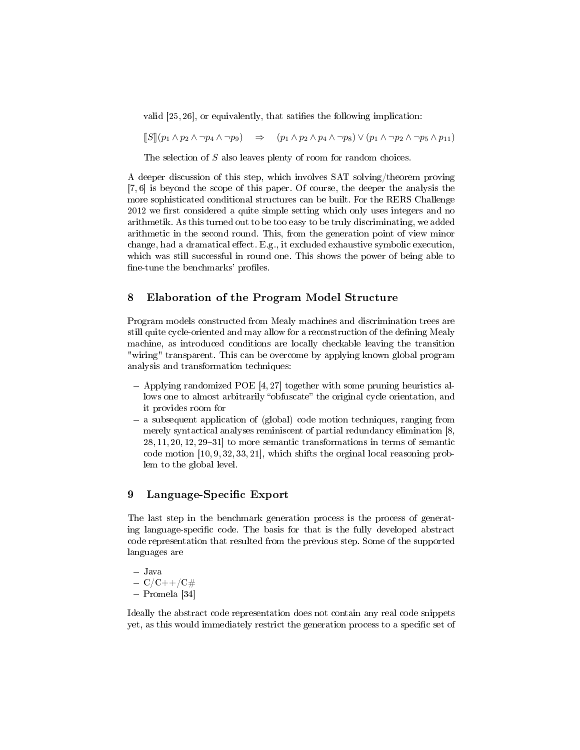valid  $[25, 26]$ , or equivalently, that satifies the following implication:

 $\llbracket S \rrbracket (p_1 \wedge p_2 \wedge \neg p_4 \wedge \neg p_9) \Rightarrow (p_1 \wedge p_2 \wedge p_4 \wedge \neg p_8) \vee (p_1 \wedge \neg p_2 \wedge \neg p_5 \wedge p_{11})$ 

The selection of S also leaves plenty of room for random choices.

A deeper discussion of this step, which involves SAT solving/theorem proving [7, 6] is beyond the scope of this paper. Of course, the deeper the analysis the more sophisticated conditional structures can be built. For the RERS Challenge  $2012$  we first considered a quite simple setting which only uses integers and no arithmetik. As this turned out to be too easy to be truly discriminating, we added arithmetic in the second round. This, from the generation point of view minor change, had a dramatical effect. E.g., it excluded exhaustive symbolic execution, which was still successful in round one. This shows the power of being able to fine-tune the benchmarks' profiles.

### 8 Elaboration of the Program Model Structure

Program models constructed from Mealy machines and discrimination trees are still quite cycle-oriented and may allow for a reconstruction of the dening Mealy machine, as introduced conditions are locally checkable leaving the transition "wiring" transparent. This can be overcome by applying known global program analysis and transformation techniques:

- $-$  Applying randomized POE [4, 27] together with some pruning heuristics allows one to almost arbitrarily "obfuscate" the original cycle orientation, and it provides room for
- $-$  a subsequent application of (global) code motion techniques, ranging from merely syntactical analyses reminiscent of partial redundancy elimination [8,  $28, 11, 20, 12, 29-31$  to more semantic transformations in terms of semantic code motion [10, 9, 32, 33, 21], which shifts the orginal local reasoning problem to the global level.

## 9 Language-Specific Export

The last step in the benchmark generation process is the process of generating language-specific code. The basis for that is the fully developed abstract code representation that resulted from the previous step. Some of the supported languages are

 Java  $-C/C++/C#$ Promela [34]

Ideally the abstract code representation does not contain any real code snippets yet, as this would immediately restrict the generation process to a specific set of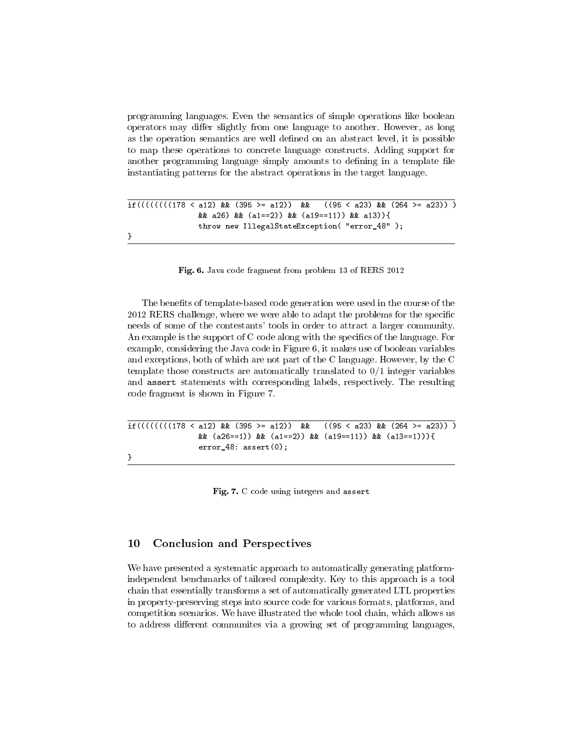programming languages. Even the semantics of simple operations like boolean operators may differ slightly from one language to another. However, as long as the operation semantics are well dened on an abstract level, it is possible to map these operations to concrete language constructs. Adding support for another programming language simply amounts to defining in a template file instantiating patterns for the abstract operations in the target language.

```
if(((((((178 < a12) && (395 >= a12)) && ((95 < a23) && (264 >= a23)) )
               && a26) && (a1==2)) && (a19==11)) && a13)){
               throw new IllegalStateException( "error_48" );
}
```
Fig. 6. Java code fragment from problem 13 of RERS 2012

The benefits of template-based code generation were used in the course of the 2012 RERS challenge, where we were able to adapt the problems for the specific needs of some of the contestants' tools in order to attract a larger community. An example is the support of C code along with the specifics of the language. For example, considering the Java code in Figure 6, it makes use of boolean variables and exceptions, both of which are not part of the C language. However, by the C template those constructs are automatically translated to 0/1 integer variables and assert statements with corresponding labels, respectively. The resulting code fragment is shown in Figure 7.

if((((((((178 < a12) && (395 >= a12)) && ((95 < a23) && (264 >= a23)) ) && (a26==1)) && (a1==2)) && (a19==11)) && (a13==1))){ error\_48: assert(0); }

Fig. 7. C code using integers and assert

## 10 Conclusion and Perspectives

We have presented a systematic approach to automatically generating platformindependent benchmarks of tailored complexity. Key to this approach is a tool chain that essentially transforms a set of automatically generated LTL properties in property-preserving steps into source code for various formats, platforms, and competition scenarios. We have illustrated the whole tool chain, which allows us to address different communites via a growing set of programming languages,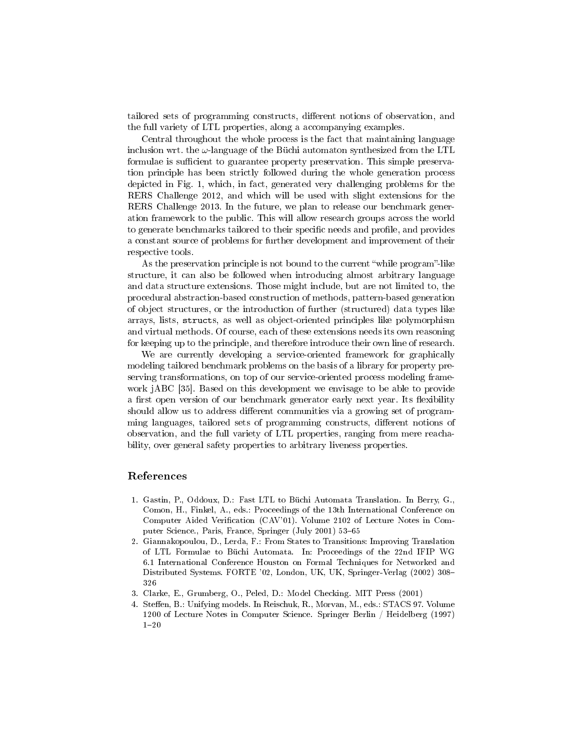tailored sets of programming constructs, different notions of observation, and the full variety of LTL properties, along a accompanying examples.

Central throughout the whole process is the fact that maintaining language inclusion wrt. the  $\omega$ -language of the Büchi automaton synthesized from the LTL formulae is sufficient to guarantee property preservation. This simple preservation principle has been strictly followed during the whole generation process depicted in Fig. 1, which, in fact, generated very challenging problems for the RERS Challenge 2012, and which will be used with slight extensions for the RERS Challenge 2013. In the future, we plan to release our benchmark generation framework to the public. This will allow research groups across the world to generate benchmarks tailored to their specific needs and profile, and provides a constant source of problems for further development and improvement of their respective tools.

As the preservation principle is not bound to the current "while program"-like structure, it can also be followed when introducing almost arbitrary language and data structure extensions. Those might include, but are not limited to, the procedural abstraction-based construction of methods, pattern-based generation of object structures, or the introduction of further (structured) data types like arrays, lists, structs, as well as object-oriented principles like polymorphism and virtual methods. Of course, each of these extensions needs its own reasoning for keeping up to the principle, and therefore introduce their own line of research.

We are currently developing a service-oriented framework for graphically modeling tailored benchmark problems on the basis of a library for property preserving transformations, on top of our service-oriented process modeling framework jABC [35]. Based on this development we envisage to be able to provide a first open version of our benchmark generator early next year. Its flexibility should allow us to address different communities via a growing set of programming languages, tailored sets of programming constructs, different notions of observation, and the full variety of LTL properties, ranging from mere reachability, over general safety properties to arbitrary liveness properties.

### References

- 1. Gastin, P., Oddoux, D.: Fast LTL to Büchi Automata Translation. In Berry, G., Comon, H., Finkel, A., eds.: Proceedings of the 13th International Conference on Computer Aided Verification (CAV'01). Volume 2102 of Lecture Notes in Computer Science., Paris, France, Springer (July 2001) 53-65
- 2. Giannakopoulou, D., Lerda, F.: From States to Transitions: Improving Translation of LTL Formulae to Büchi Automata. In: Proceedings of the 22nd IFIP WG 6.1 International Conference Houston on Formal Techniques for Networked and Distributed Systems. FORTE '02, London, UK, UK, Springer-Verlag (2002) 308 326
- 3. Clarke, E., Grumberg, O., Peled, D.: Model Checking. MIT Press (2001)
- 4. Steffen, B.: Unifying models. In Reischuk, R., Morvan, M., eds.: STACS 97. Volume 1200 of Lecture Notes in Computer Science. Springer Berlin / Heidelberg (1997)  $1 - 20$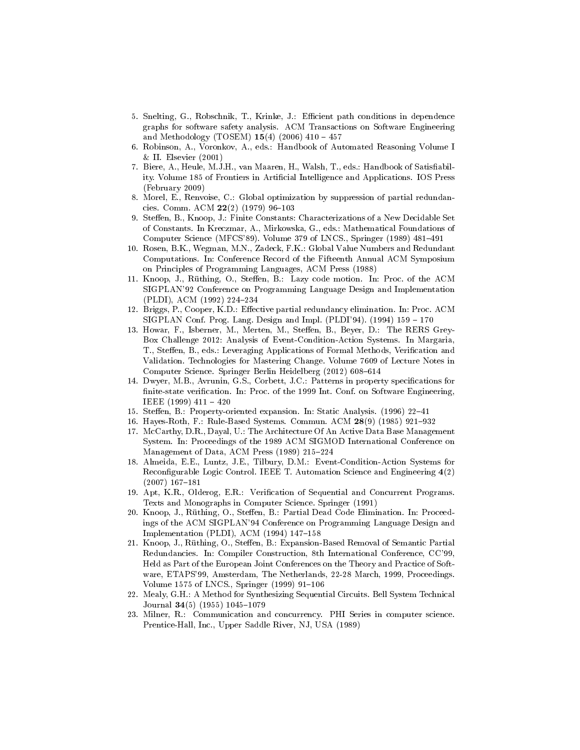- 5. Snelting, G., Robschnik, T., Krinke, J.: Efficient path conditions in dependence graphs for software safety analysis. ACM Transactions on Software Engineering and Methodology (TOSEM)  $15(4)$  (2006)  $410 - 457$
- 6. Robinson, A., Voronkov, A., eds.: Handbook of Automated Reasoning Volume I & II. Elsevier (2001)
- 7. Biere, A., Heule, M.J.H., van Maaren, H., Walsh, T., eds.: Handbook of Satisability. Volume 185 of Frontiers in Artificial Intelligence and Applications. IOS Press (February 2009)
- 8. Morel, E., Renvoise, C.: Global optimization by suppression of partial redundancies. Comm. ACM  $22(2)$  (1979) 96-103
- 9. Steffen, B., Knoop, J.: Finite Constants: Characterizations of a New Decidable Set of Constants. In Kreczmar, A., Mirkowska, G., eds.: Mathematical Foundations of Computer Science (MFCS'89). Volume 379 of LNCS., Springer (1989) 481-491
- 10. Rosen, B.K., Wegman, M.N., Zadeck, F.K.: Global Value Numbers and Redundant Computations. In: Conference Record of the Fifteenth Annual ACM Symposium on Principles of Programming Languages, ACM Press (1988)
- 11. Knoop, J., Rüthing, O., Steen, B.: Lazy code motion. In: Proc. of the ACM SIGPLAN'92 Conference on Programming Language Design and Implementation (PLDI), ACM (1992) 224-234
- 12. Briggs, P., Cooper, K.D.: Effective partial redundancy elimination. In: Proc. ACM SIGPLAN Conf. Prog. Lang. Design and Impl. (PLDI'94).  $(1994) 159 - 170$
- 13. Howar, F., Isberner, M., Merten, M., Steffen, B., Beyer, D.: The RERS Grey-Box Challenge 2012: Analysis of Event-Condition-Action Systems. In Margaria, T., Steffen, B., eds.: Leveraging Applications of Formal Methods, Verification and Validation. Technologies for Mastering Change. Volume 7609 of Lecture Notes in Computer Science. Springer Berlin Heidelberg (2012) 608-614
- 14. Dwyer, M.B., Avrunin, G.S., Corbett, J.C.: Patterns in property specifications for finite-state verification. In: Proc. of the 1999 Int. Conf. on Software Engineering IEEE (1999) 411 - 420
- 15. Steffen, B.: Property-oriented expansion. In: Static Analysis. (1996) 22-41
- 16. Hayes-Roth, F.: Rule-Based Systems. Commun. ACM 28(9) (1985) 921-932
- 17. McCarthy, D.R., Dayal, U.: The Architecture Of An Active Data Base Management System. In: Proceedings of the 1989 ACM SIGMOD International Conference on Management of Data, ACM Press (1989) 215-224
- 18. Almeida, E.E., Luntz, J.E., Tilbury, D.M.: Event-Condition-Action Systems for Reconfigurable Logic Control. IEEE T. Automation Science and Engineering  $4(2)$  $(2007)$  167-181
- 19. Apt, K.R., Olderog, E.R.: Verication of Sequential and Concurrent Programs. Texts and Monographs in Computer Science. Springer (1991)
- 20. Knoop, J., Rüthing, O., Steffen, B.: Partial Dead Code Elimination. In: Proceedings of the ACM SIGPLAN'94 Conference on Programming Language Design and Implementation (PLDI), ACM  $(1994)$  147-158
- 21. Knoop, J., Rüthing, O., Steffen, B.: Expansion-Based Removal of Semantic Partial Redundancies. In: Compiler Construction, 8th International Conference, CC'99, Held as Part of the European Joint Conferences on the Theory and Practice of Software, ETAPS'99, Amsterdam, The Netherlands, 22-28 March, 1999, Proceedings. Volume  $1575$  of LNCS., Springer  $(1999)$  91-106
- 22. Mealy, G.H.: A Method for Synthesizing Sequential Circuits. Bell System Technical Journal  $34(5)$  (1955) 1045-1079
- 23. Milner, R.: Communication and concurrency. PHI Series in computer science. Prentice-Hall, Inc., Upper Saddle River, NJ, USA (1989)